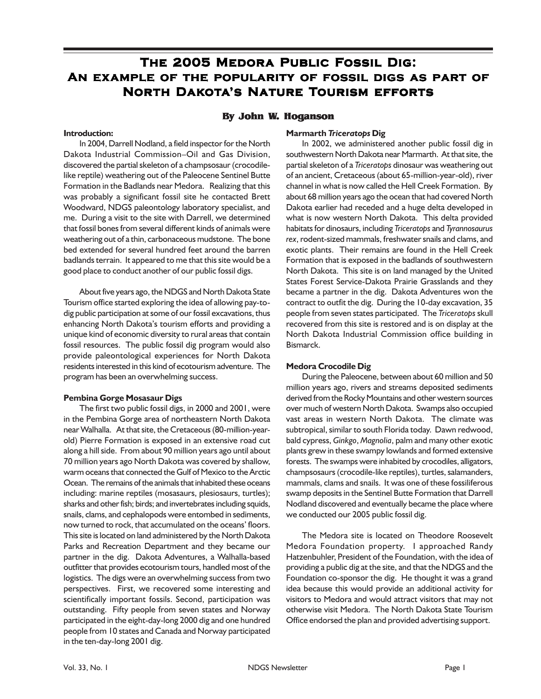# **The 2005 Medora Public Fossil Dig: ossil Dig: An example of the popularity of fossil digs as part of North Dakota's Nature Tourism efforts**

# **By John W. Hoganson**

#### **Introduction:**

In 2004, Darrell Nodland, a field inspector for the North Dakota Industrial Commission–Oil and Gas Division, discovered the partial skeleton of a champsosaur (crocodilelike reptile) weathering out of the Paleocene Sentinel Butte Formation in the Badlands near Medora. Realizing that this was probably a significant fossil site he contacted Brett Woodward, NDGS paleontology laboratory specialist, and me. During a visit to the site with Darrell, we determined that fossil bones from several different kinds of animals were weathering out of a thin, carbonaceous mudstone. The bone bed extended for several hundred feet around the barren badlands terrain. It appeared to me that this site would be a good place to conduct another of our public fossil digs.

About five years ago, the NDGS and North Dakota State Tourism office started exploring the idea of allowing pay-todig public participation at some of our fossil excavations, thus enhancing North Dakota's tourism efforts and providing a unique kind of economic diversity to rural areas that contain fossil resources. The public fossil dig program would also provide paleontological experiences for North Dakota residents interested in this kind of ecotourism adventure. The program has been an overwhelming success.

## **Pembina Gorge Mosasaur Digs**

The first two public fossil digs, in 2000 and 2001, were in the Pembina Gorge area of northeastern North Dakota near Walhalla. At that site, the Cretaceous (80-million-yearold) Pierre Formation is exposed in an extensive road cut along a hill side. From about 90 million years ago until about 70 million years ago North Dakota was covered by shallow, warm oceans that connected the Gulf of Mexico to the Arctic Ocean. The remains of the animals that inhabited these oceans including: marine reptiles (mosasaurs, plesiosaurs, turtles); sharks and other fish; birds; and invertebrates including squids, snails, clams, and cephalopods were entombed in sediments, now turned to rock, that accumulated on the oceans' floors. This site is located on land administered by the North Dakota Parks and Recreation Department and they became our partner in the dig. Dakota Adventures, a Walhalla-based outfitter that provides ecotourism tours, handled most of the logistics. The digs were an overwhelming success from two perspectives. First, we recovered some interesting and scientifically important fossils. Second, participation was outstanding. Fifty people from seven states and Norway participated in the eight-day-long 2000 dig and one hundred people from 10 states and Canada and Norway participated in the ten-day-long 2001 dig.

#### **Marmarth** *Triceratops* **Dig**

In 2002, we administered another public fossil dig in southwestern North Dakota near Marmarth. At that site, the partial skeleton of a *Triceratops* dinosaur was weathering out of an ancient, Cretaceous (about 65-million-year-old), river channel in what is now called the Hell Creek Formation. By about 68 million years ago the ocean that had covered North Dakota earlier had receded and a huge delta developed in what is now western North Dakota. This delta provided habitats for dinosaurs, including *Triceratops* and *Tyrannosaurus rex*, rodent-sized mammals, freshwater snails and clams, and exotic plants. Their remains are found in the Hell Creek Formation that is exposed in the badlands of southwestern North Dakota. This site is on land managed by the United States Forest Service-Dakota Prairie Grasslands and they became a partner in the dig. Dakota Adventures won the contract to outfit the dig. During the 10-day excavation, 35 people from seven states participated. The *Triceratops* skull recovered from this site is restored and is on display at the North Dakota Industrial Commission office building in Bismarck.

## **Medora Crocodile Dig**

During the Paleocene, between about 60 million and 50 million years ago, rivers and streams deposited sediments derived from the Rocky Mountains and other western sources over much of western North Dakota. Swamps also occupied vast areas in western North Dakota. The climate was subtropical, similar to south Florida today. Dawn redwood, bald cypress, *Ginkgo*, *Magnolia*, palm and many other exotic plants grew in these swampy lowlands and formed extensive forests. The swamps were inhabited by crocodiles, alligators, champsosaurs (crocodile-like reptiles), turtles, salamanders, mammals, clams and snails. It was one of these fossiliferous swamp deposits in the Sentinel Butte Formation that Darrell Nodland discovered and eventually became the place where we conducted our 2005 public fossil dig.

The Medora site is located on Theodore Roosevelt Medora Foundation property. I approached Randy Hatzenbuhler, President of the Foundation, with the idea of providing a public dig at the site, and that the NDGS and the Foundation co-sponsor the dig. He thought it was a grand idea because this would provide an additional activity for visitors to Medora and would attract visitors that may not otherwise visit Medora. The North Dakota State Tourism Office endorsed the plan and provided advertising support.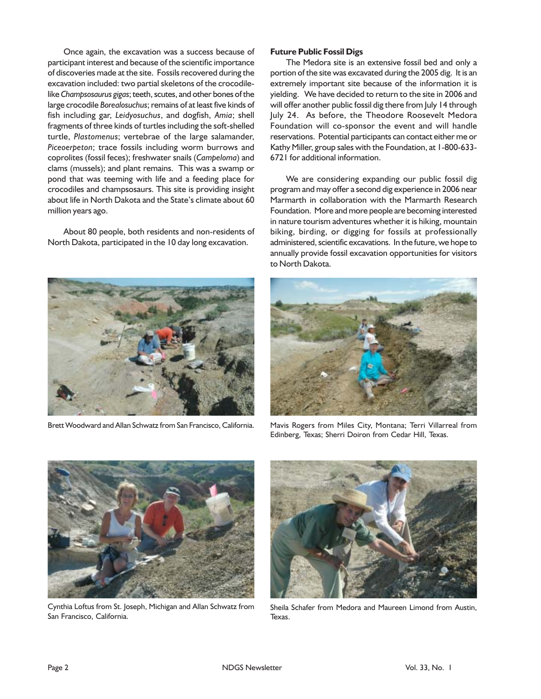Once again, the excavation was a success because of participant interest and because of the scientific importance of discoveries made at the site. Fossils recovered during the excavation included: two partial skeletons of the crocodilelike *Champsosaurus gigas*; teeth, scutes, and other bones of the large crocodile *Borealosuchus*; remains of at least five kinds of fish including gar, *Leidyosuchus*, and dogfish, *Amia*; shell fragments of three kinds of turtles including the soft-shelled turtle, *Plastomenus*; vertebrae of the large salamander, *Piceoerpeton*; trace fossils including worm burrows and coprolites (fossil feces); freshwater snails (*Campeloma*) and clams (mussels); and plant remains. This was a swamp or pond that was teeming with life and a feeding place for crocodiles and champsosaurs. This site is providing insight about life in North Dakota and the State's climate about 60 million years ago.

About 80 people, both residents and non-residents of North Dakota, participated in the 10 day long excavation.



#### **Future Public Fossil Digs**

The Medora site is an extensive fossil bed and only a portion of the site was excavated during the 2005 dig. It is an extremely important site because of the information it is yielding. We have decided to return to the site in 2006 and will offer another public fossil dig there from July 14 through July 24. As before, the Theodore Roosevelt Medora Foundation will co-sponsor the event and will handle reservations. Potential participants can contact either me or Kathy Miller, group sales with the Foundation, at 1-800-633- 6721 for additional information.

We are considering expanding our public fossil dig program and may offer a second dig experience in 2006 near Marmarth in collaboration with the Marmarth Research Foundation. More and more people are becoming interested in nature tourism adventures whether it is hiking, mountain biking, birding, or digging for fossils at professionally administered, scientific excavations. In the future, we hope to annually provide fossil excavation opportunities for visitors to North Dakota.



Brett Woodward and Allan Schwatz from San Francisco, California. Mavis Rogers from Miles City, Montana; Terri Villarreal from Edinberg, Texas; Sherri Doiron from Cedar Hill, Texas.



Cynthia Loftus from St. Joseph, Michigan and Allan Schwatz from San Francisco, California.



Sheila Schafer from Medora and Maureen Limond from Austin, Texas.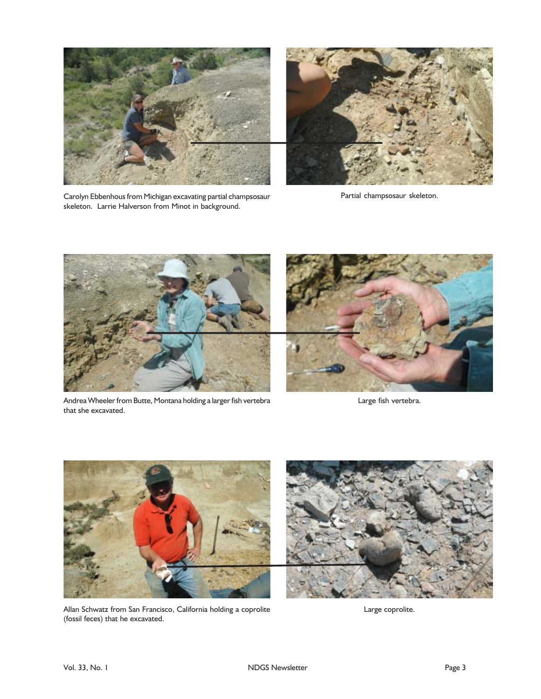



Carolyn Ebbenhous from Michigan excavating partial champsosaur skeleton. Larrie Halverson from Minot in background.

Partial champsosaur skeleton.



Andrea Wheeler from Butte, Montana holding a larger fish vertebra that she excavated.



Large fish vertebra.



Allan Schwatz from San Francisco, California holding a coprolite (fossil feces) that he excavated.

Large coprolite.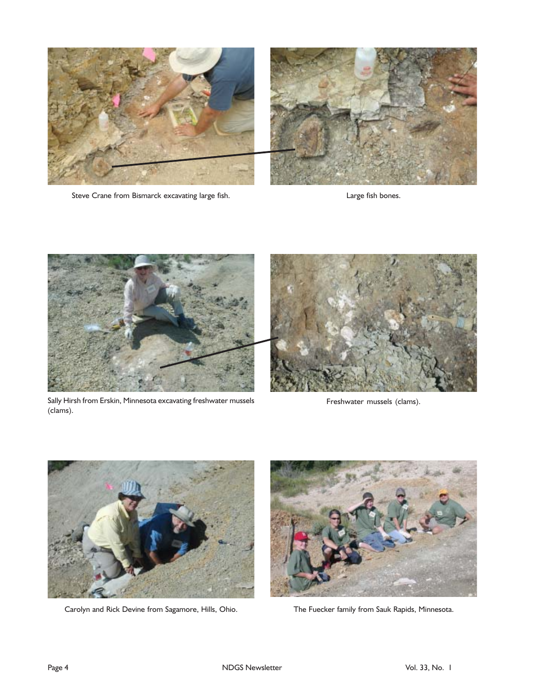

Steve Crane from Bismarck excavating large fish. The state of the large fish bones.



Sally Hirsh from Erskin, Minnesota excavating freshwater mussels (clams).



Freshwater mussels (clams).



Carolyn and Rick Devine from Sagamore, Hills, Ohio. The Fuecker family from Sauk Rapids, Minnesota.